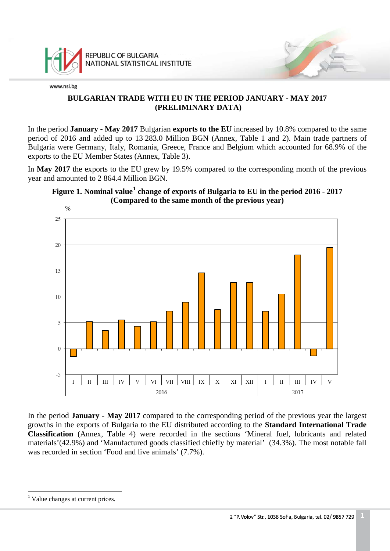

## **BULGARIAN TRADE WITH EU IN THE PERIOD JANUARY - MAY 2017 (PRELIMINARY DATA)**

In the period **January - May 2017** Bulgarian **exports to the EU** increased by 10.8% compared to the same period of 2016 and added up to 13 283.0 Million BGN (Annex, Table 1 and 2). Main trade partners of Bulgaria were Germany, Italy, Romania, Greece, France and Belgium which accounted for 68.9% of the exports to the EU Member States (Annex, Table 3).

In **May 2017** the exports to the EU grew by 19.5% compared to the corresponding month of the previous year and amounted to 2 864.4 Million BGN.





In the period **January - May 2017** compared to the corresponding period of the previous year the largest growths in the exports of Bulgaria to the EU distributed according to the **Standard International Trade Classification** (Annex, Table 4) were recorded in the sections 'Mineral fuel, lubricants and related materials'(42.9%) and 'Manufactured goods classified chiefly by material' (34.3%). The most notable fall was recorded in section 'Food and live animals' (7.7%).

<span id="page-0-0"></span><sup>&</sup>lt;sup>1</sup> Value changes at current prices.  $\frac{1}{1}$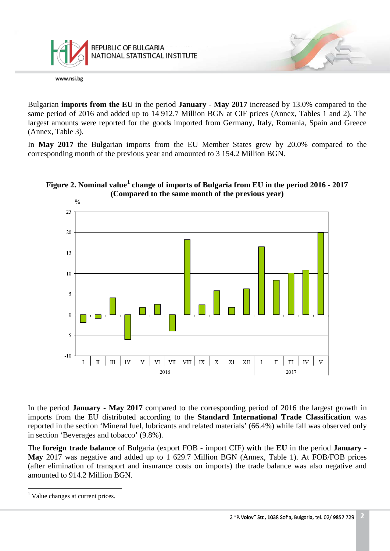

Bulgarian **imports from the EU** in the period **January - May 2017** increased by 13.0% compared to the same period of 2016 and added up to 14 912.7 Million BGN at CIF prices (Annex, Tables 1 and 2). The largest amounts were reported for the goods imported from Germany, Italy, Romania, Spain and Greece (Annex, Table 3).

In **May 2017** the Bulgarian imports from the EU Member States grew by 20.0% compared to the corresponding month of the previous year and amounted to 3 154.2 Million BGN.





In the period **January - May 2017** compared to the corresponding period of 2016 the largest growth in imports from the EU distributed according to the **Standard International Trade Classification** was reported in the section 'Mineral fuel, lubricants and related materials' (66.4%) while fall was observed only in section 'Beverages and tobacco' (9.8%).

The **foreign trade balance** of Bulgaria (export FOB - import CIF) **with** the **EU** in the period **January - May** 2017 was negative and added up to 1 629.7 Million BGN (Annex, Table 1). At FOB/FOB prices (after elimination of transport and insurance costs on imports) the trade balance was also negative and amounted to 914.2 Million BGN.

<span id="page-1-0"></span><sup>&</sup>lt;sup>1</sup> Value changes at current prices.  $\frac{1}{1}$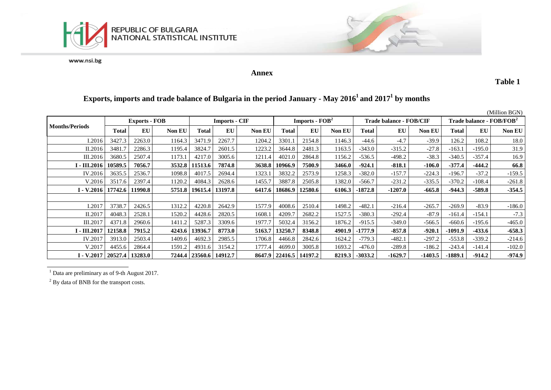

**Annex**

**Table 1**

# **Exports, imports and trade balance of Bulgaria in the period January - May 20161 and 20171 by months**

|                                |         |                      |               |                            |                      |               |                  |                            |        |                                |          | (Million BGN)                        |           |          |               |
|--------------------------------|---------|----------------------|---------------|----------------------------|----------------------|---------------|------------------|----------------------------|--------|--------------------------------|----------|--------------------------------------|-----------|----------|---------------|
|                                |         | <b>Exports - FOB</b> |               |                            | <b>Imports - CIF</b> |               | Imports - $FOB2$ |                            |        | <b>Trade balance - FOB/CIF</b> |          | Trade balance - FOB/FOB <sup>2</sup> |           |          |               |
| <b>Months/Periods</b>          | Total   | EU                   | <b>Non EU</b> | Total                      | EU                   | <b>Non EU</b> | Total            | EU                         | Non EU | Total                          | EU       | Non EU                               | Total     | EU       | <b>Non EU</b> |
| I.2016                         | 3427.3  | 2263.0               | 1164.3        | 3471<br>$\cdot$ 9          | 2267.7               | 1204.2        | 3301.1           | 2154.8                     | 1146.3 | -44.6                          | $-4.7$   | $-39.9$                              | 126.2     | 108.2    | 18.0          |
| II.2016                        | 3481.   | 2286.3               | 1195.4        | 3824.7                     | 2601.5               | 1223.2        | 3644.8           | 2481.3                     | 1163.5 | $-343.0$                       | $-315.2$ | $-27.8$                              | $-163.1$  | $-195.0$ | 31.9          |
| III.2016                       | 3680.5  | 2507.4               | 1173.1        | 4217.0                     | 3005.6               | 1211.4        | 4021.0           | 2864.8                     | 1156.2 | $-536.5$                       | $-498.2$ | $-38.3$                              | $-340.5$  | $-357.4$ | 16.9          |
| I - III.2016                   | 10589.5 | 7056.7               | 3532.8        | 11513.6                    | 7874.8               | 3638.8        | 10966.9          | 7500.9                     | 3466.0 | $-924.1$                       | $-818.1$ | $-106.0$                             | $-377.4$  | $-444.2$ | 66.8          |
| IV.2016                        | 3635.5  | 2536.7               | 1098.8        | 4017.5                     | 2694.4               | 1323.1        | 3832.2           | 2573.9                     | 1258.3 | $-382.0$                       | $-157.7$ | $-224.3$                             | $-196.7$  | $-37.2$  | $-159.5$      |
| V.2016                         | 3517.6  | 2397.4               | 1120.2        | 4084.3                     | 2628.6               | 1455.7        | 3887.8           | 2505.8                     | 1382.0 | $-566.7$                       | $-231.2$ | $-335.5$                             | $-370.2$  | $-108.4$ | $-261.8$      |
| I - V.2016   17742.6           |         | 11990.8              | 5751.8        | 19615.4                    | 13197.8              | 6417.6        | 18686.9          | 12580.6                    | 6106.3 | -1872.8                        | -1207.0  | $-665.8$                             | $-944.3$  | $-589.8$ | $-354.5$      |
|                                |         |                      |               |                            |                      |               |                  |                            |        |                                |          |                                      |           |          |               |
| I.2017                         | 3738.7  | 2426.5               | 1312.2        | 4220.8                     | 2642.9               | 1577.9        | 4008.6           | 2510.4                     | 1498.2 | $-482.1$                       | $-216.4$ | $-265.7$                             | $-269.9$  | $-83.9$  | $-186.0$      |
| II.2017                        | 4048.3  | 2528.1               | 1520.2        | 4428.6                     | 2820.5               | 1608.1        | 4209.7           | 2682.2                     | 1527.5 | $-380.3$                       | $-292.4$ | $-87.9$                              | $-161.4$  | $-154.1$ | $-7.3$        |
| III.2017                       | 4371.8  | 2960.6               | 1411.2        | 5287.3                     | 3309.6               | 1977.7        | 5032.4           | 3156.2                     | 1876.2 | $-915.5$                       | $-349.0$ | $-566.5$                             | $-660.6$  | $-195.6$ | $-465.0$      |
| $I - III.2017$                 | 12158.8 | 7915.2               | 4243.6        | 13936.7                    | 8773.0               | 5163.7        | 13250.7          | 8348.8                     | 4901.9 | -1777.9                        | $-857.8$ | $-920.1$                             | $-1091.9$ | $-433.6$ | $-658.3$      |
| IV.2017                        | 3913.0  | 2503.4               | 1409.6        | 4692.3                     | 2985.5               | 1706.8        | 4466.8           | 2842.6                     | 1624.2 | $-779.3$                       | $-482.1$ | $-297.2$                             | $-553.8$  | $-339.2$ | $-214.6$      |
| V.2017                         | 4455.6  | 2864.4               | 1591.2        | 4931.6                     | 3154.2               | 1777.4        | 4699.0           | 3005.8                     | 1693.2 | $-476.0$                       | $-289.8$ | $-186.2$                             | $-243.4$  | $-141.4$ | $-102.0$      |
| I - V.2017   20527.4   13283.0 |         |                      |               | 7244.4   23560.6   14912.7 |                      |               |                  | 8647.9   22416.5   14197.2 | 8219.3 | $-3033.2$                      | -1629.7  | $-1403.5$                            | $-1889.1$ | $-914.2$ | $-974.9$      |

<sup>1</sup> Data are preliminary as of 9-th August 2017.

<sup>2</sup> By data of BNB for the transport costs.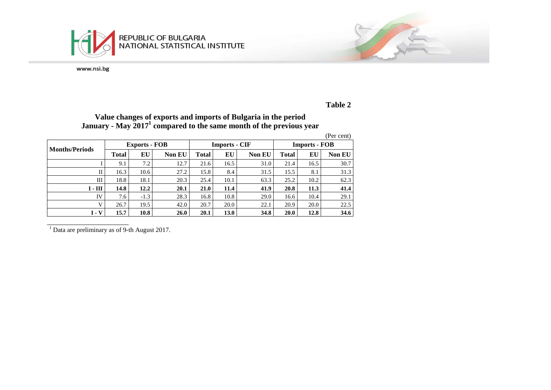

# **Table 2**

## **Value changes of exports and imports of Bulgaria in the period January - May 20171 compared to the same month of the previous year**

|                       |       |                      |               |             |                      |               |                      |      | (Per cent)    |  |
|-----------------------|-------|----------------------|---------------|-------------|----------------------|---------------|----------------------|------|---------------|--|
| <b>Months/Periods</b> |       | <b>Exports - FOB</b> |               |             | <b>Imports - CIF</b> |               | <b>Imports - FOB</b> |      |               |  |
|                       | Total | EU                   | <b>Non EU</b> | Total       | EU                   | <b>Non EU</b> | <b>Total</b>         | ЕU   | <b>Non EU</b> |  |
|                       | 9.1   | 7.2                  | 12.7          | 21.6        | 16.5                 | 31.0          | 21.4                 | 16.5 | 30.7          |  |
| П                     | 16.3  | 10.6                 | 27.2          | 15.8        | 8.4                  | 31.5          | 15.5                 | 8.1  | 31.3          |  |
| Ш                     | 18.8  | 18.1                 | 20.3          | 25.4        | 10.1                 | 63.3          | 25.2                 | 10.2 | 62.3          |  |
| $I - III$             | 14.8  | 12.2                 | 20.1          | <b>21.0</b> | 11.4                 | 41.9          | 20.8                 | 11.3 | 41.4          |  |
| IV                    | 7.6   | $-1.3$               | 28.3          | 16.8        | 10.8                 | 29.0          | 16.6                 | 10.4 | 29.1          |  |
| V                     | 26.7  | 19.5                 | 42.0          | 20.7        | 20.0                 | 22.1          | 20.9                 | 20.0 | 22.5          |  |
| $I - V$               | 15.7  | 10.8                 | 26.0          | 20.1        | 13.0                 | 34.8          | <b>20.0</b>          | 12.8 | 34.6          |  |

 $\frac{1}{1}$  Data are preliminary as of 9-th August 2017.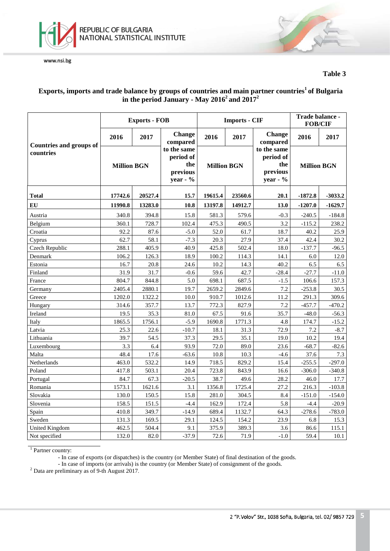

**Table 3**

#### **Exports, imports and trade balance by groups of countries and main partner countries1 of Bulgaria in the period January - May 20162 and 20172**

|                                |                    | <b>Exports - FOB</b> |                                                           |                    | <b>Imports - CIF</b> |                                                            | Trade balance -<br><b>FOB/CIF</b> |           |  |  |
|--------------------------------|--------------------|----------------------|-----------------------------------------------------------|--------------------|----------------------|------------------------------------------------------------|-----------------------------------|-----------|--|--|
| <b>Countries and groups of</b> | 2016               | 2017                 | <b>Change</b><br>compared                                 | 2016               | 2017                 | <b>Change</b><br>compared                                  | 2016                              | 2017      |  |  |
| countries                      | <b>Million BGN</b> |                      | to the same<br>period of<br>the<br>previous<br>year - $%$ | <b>Million BGN</b> |                      | to the same<br>period of<br>the<br>previous<br>year - $\%$ | <b>Million BGN</b>                |           |  |  |
| <b>Total</b>                   | 17742.6            | 20527.4              | 15.7                                                      | 19615.4            | 23560.6              | 20.1                                                       | $-1872.8$                         | $-3033.2$ |  |  |
| ${\bf EU}$                     | 11990.8            | 13283.0              | 10.8                                                      | 13197.8            | 14912.7              | 13.0                                                       | $-1207.0$                         | $-1629.7$ |  |  |
| Austria                        | 340.8              | 394.8                | 15.8                                                      | 581.3              | 579.6                | $-0.3$                                                     | $-240.5$                          | $-184.8$  |  |  |
| Belgium                        | 360.1              | 728.7                | 102.4                                                     | 475.3              | 490.5                | 3.2                                                        | $-115.2$                          | 238.2     |  |  |
| Croatia                        | 92.2               | 87.6                 | $-5.0$                                                    | 52.0               | 61.7                 | 18.7                                                       | 40.2                              | 25.9      |  |  |
| Cyprus                         | 62.7               | 58.1                 | $-7.3$                                                    | 20.3               | 27.9                 | 37.4                                                       | 42.4                              | 30.2      |  |  |
| Czech Republic                 | 288.1              | 405.9                | 40.9                                                      | 425.8              | 502.4                | 18.0                                                       | $-137.7$                          | $-96.5$   |  |  |
| Denmark                        | 106.2              | 126.3                | 18.9                                                      | 100.2              | 114.3                | 14.1                                                       | 6.0                               | 12.0      |  |  |
| Estonia                        | 16.7               | 20.8                 | 24.6                                                      | 10.2               | 14.3                 | 40.2                                                       | 6.5                               | 6.5       |  |  |
| Finland                        | 31.9               | 31.7                 | $-0.6$                                                    | 59.6               | 42.7                 | $-28.4$                                                    | $-27.7$                           | $-11.0$   |  |  |
| France                         | 804.7              | 844.8                | 5.0                                                       | 698.1              | 687.5                | $-1.5$                                                     | 106.6                             | 157.3     |  |  |
| Germany                        | 2405.4             | 2880.1               | 19.7                                                      | 2659.2             | 2849.6               | 7.2                                                        | $-253.8$                          | 30.5      |  |  |
| Greece                         | 1202.0             | 1322.2               | 10.0                                                      | 910.7              | 1012.6               | 11.2                                                       | 291.3                             | 309.6     |  |  |
| Hungary                        | 314.6              | 357.7                | 13.7                                                      | 772.3              | 827.9                | 7.2                                                        | $-457.7$                          | $-470.2$  |  |  |
| Ireland                        | 19.5               | 35.3                 | 81.0                                                      | 67.5               | 91.6                 | 35.7                                                       | $-48.0$                           | $-56.3$   |  |  |
| Italy                          | 1865.5             | 1756.1               | $-5.9$                                                    | 1690.8             | 1771.3               | 4.8                                                        | 174.7                             | $-15.2$   |  |  |
| Latvia                         | 25.3               | 22.6                 | $-10.7$                                                   | 18.1               | 31.3                 | 72.9                                                       | 7.2                               | $-8.7$    |  |  |
| Lithuania                      | 39.7               | 54.5                 | 37.3                                                      | 29.5               | 35.1                 | 19.0                                                       | 10.2                              | 19.4      |  |  |
| Luxembourg                     | 3.3                | 6.4                  | 93.9                                                      | 72.0               | 89.0                 | 23.6                                                       | $-68.7$                           | $-82.6$   |  |  |
| Malta                          | 48.4               | 17.6                 | $-63.6$                                                   | 10.8               | 10.3                 | $-4.6$                                                     | 37.6                              | 7.3       |  |  |
| Netherlands                    | 463.0              | 532.2                | 14.9                                                      | 718.5              | 829.2                | 15.4                                                       | $-255.5$                          | $-297.0$  |  |  |
| Poland                         | 417.8              | 503.1                | 20.4                                                      | 723.8              | 843.9                | 16.6                                                       | $-306.0$                          | $-340.8$  |  |  |
| Portugal                       | 84.7               | 67.3                 | $-20.5$                                                   | 38.7               | 49.6                 | 28.2                                                       | 46.0                              | 17.7      |  |  |
| Romania                        | 1573.1             | 1621.6               | 3.1                                                       | 1356.8             | 1725.4               | 27.2                                                       | 216.3                             | $-103.8$  |  |  |
| Slovakia                       | 130.0              | 150.5                | 15.8                                                      | 281.0              | 304.5                | 8.4                                                        | $-151.0$                          | $-154.0$  |  |  |
| Slovenia                       | 158.5              | 151.5                | $-4.4$                                                    | 162.9              | 172.4                | 5.8                                                        | $-4.4$                            | $-20.9$   |  |  |
| Spain                          | 410.8              | 349.7                | $-14.9$                                                   | 689.4              | 1132.7               | 64.3                                                       | $-278.6$                          | $-783.0$  |  |  |
| Sweden                         | 131.3              | 169.5                | 29.1                                                      | 124.5              | 154.2                | 23.9                                                       | 6.8                               | 15.3      |  |  |
| <b>United Kingdom</b>          | 462.5              | 504.4                | 9.1                                                       | 375.9              | 389.3                | 3.6                                                        | 86.6                              | 115.1     |  |  |
| Not specified                  | 132.0              | 82.0                 | $-37.9$                                                   | 72.6               | 71.9                 | $-1.0$                                                     | 59.4                              | 10.1      |  |  |

<sup>1</sup> Partner country:

- In case of exports (or dispatches) is the country (or Member State) of final destination of the goods.

- In case of imports (or arrivals) is the country (or Member State) of consignment of the goods. <sup>2</sup> Data are preliminary as of 9-th August 2017.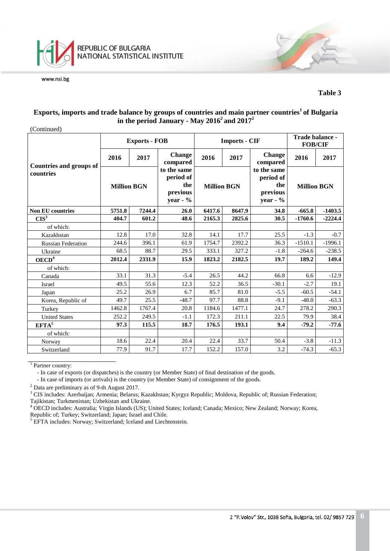

#### **Table 3**

### **Exports, imports and trade balance by groups of countries and main partner countries1 of Bulgaria**  in the period January - May  $2016^2$  and  $2017^2$

| (Continued |
|------------|
|            |

|                                |                    | <b>Exports - FOB</b> |                                                            |                    | <b>Imports - CIF</b> |                                                            | Trade balance -<br><b>FOB/CIF</b> |           |
|--------------------------------|--------------------|----------------------|------------------------------------------------------------|--------------------|----------------------|------------------------------------------------------------|-----------------------------------|-----------|
| <b>Countries and groups of</b> | 2016               | 2017                 | <b>Change</b><br>compared                                  | 2016               | 2017                 | <b>Change</b><br>compared                                  | 2016                              | 2017      |
| countries                      | <b>Million BGN</b> |                      | to the same<br>period of<br>the<br>previous<br>year - $\%$ | <b>Million BGN</b> |                      | to the same<br>period of<br>the<br>previous<br>year - $\%$ | <b>Million BGN</b>                |           |
| <b>Non EU countries</b>        | 5751.8             | 7244.4               | 26.0                                                       | 6417.6             | 8647.9               | 34.8                                                       | $-665.8$                          | $-1403.5$ |
| CIS <sup>3</sup>               | 404.7              | 601.2                | 48.6                                                       | 2165.3             | 2825.6               | 30.5                                                       | $-1760.6$                         | $-2224.4$ |
| of which:                      |                    |                      |                                                            |                    |                      |                                                            |                                   |           |
| Kazakhstan                     | 12.8               | 17.0                 | 32.8                                                       | 14.1               | 17.7                 | 25.5                                                       | $-1.3$                            | $-0.7$    |
| <b>Russian Federation</b>      | 244.6              | 396.1                | 61.9                                                       | 1754.7             | 2392.2               | 36.3                                                       | $-1510.1$                         | $-1996.1$ |
| Ukraine                        | 68.5               | 88.7                 | 29.5                                                       | 333.1              | 327.2                | $-1.8$                                                     | $-264.6$                          | $-238.5$  |
| OECD <sup>4</sup>              | 2012.4             | 2331.9               | 15.9                                                       | 1823.2             | 2182.5               | 19.7                                                       | 189.2                             | 149.4     |
| of which:                      |                    |                      |                                                            |                    |                      |                                                            |                                   |           |
| Canada                         | 33.1               | 31.3                 | $-5.4$                                                     | 26.5               | 44.2                 | 66.8                                                       | 6.6                               | $-12.9$   |
| Israel                         | 49.5               | 55.6                 | 12.3                                                       | 52.2               | 36.5                 | $-30.1$                                                    | $-2.7$                            | 19.1      |
| Japan                          | 25.2               | 26.9                 | 6.7                                                        | 85.7               | 81.0                 | $-5.5$                                                     | $-60.5$                           | $-54.1$   |
| Korea, Republic of             | 49.7               | 25.5                 | $-48.7$                                                    | 97.7               | 88.8                 | $-9.1$                                                     | $-48.0$                           | $-63.3$   |
| Turkey                         | 1462.8             | 1767.4               | 20.8                                                       | 1184.6             | 1477.1               | 24.7                                                       | 278.2                             | 290.3     |
| <b>United States</b>           | 252.2              | 249.5                | $-1.1$                                                     | 172.3              | 211.1                | 22.5                                                       | 79.9                              | 38.4      |
| EFTA <sup>5</sup>              | 97.3               | 115.5                | 18.7                                                       | 176.5              | 193.1                | 9.4                                                        | $-79.2$                           | $-77.6$   |
| of which:                      |                    |                      |                                                            |                    |                      |                                                            |                                   |           |
| Norway                         | 18.6               | 22.4                 | 20.4                                                       | 22.4               | 33.7                 | 50.4                                                       | $-3.8$                            | $-11.3$   |
| Switzerland                    | 77.9               | 91.7                 | 17.7                                                       | 152.2              | 157.0                | 3.2                                                        | $-74.3$                           | $-65.3$   |

<sup>1</sup> Partner country:

- In case of exports (or dispatches) is the country (or Member State) of final destination of the goods.

- In case of imports (or arrivals) is the country (or Member State) of consignment of the goods.<sup>2</sup> Data are preliminary as of 9-th August 2017.

<sup>3</sup> CIS includes: Azerbaijan; Armenia; Belarus; Kazakhstan; Kyrgyz Republic; Moldova, Republic of; Russian Federation; Tajikistan; Turkmenistan; Uzbekistan and Ukraine.

<sup>4</sup> OECD includes: Australia; Virgin Islands (US); United States; Iceland; Canada; Mexico; New Zealand; Norway; Korea, Republic of; Turkey; Switzerland; Japan; Israel and Chile.

<sup>5</sup> EFTA includes: Norway; Switzerland; Iceland and Liechtenstein.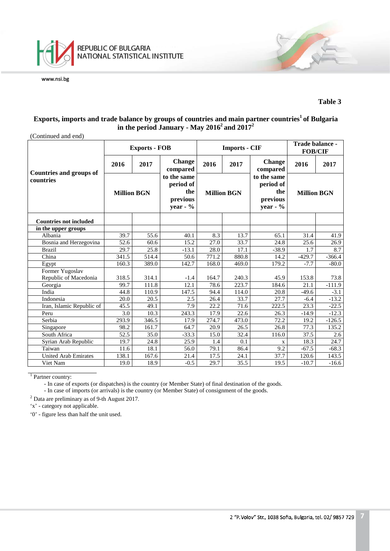

#### **Table 3**

## **Exports, imports and trade balance by groups of countries and main partner countries1 of Bulgaria in the period January - May 20162 and 20172**

| (Continued and end)                  |                    |                      |                                                           |                    |                      |                                                            |                                   |          |  |
|--------------------------------------|--------------------|----------------------|-----------------------------------------------------------|--------------------|----------------------|------------------------------------------------------------|-----------------------------------|----------|--|
|                                      |                    | <b>Exports - FOB</b> |                                                           |                    | <b>Imports - CIF</b> |                                                            | Trade balance -<br><b>FOB/CIF</b> |          |  |
|                                      | 2016               | 2017                 | <b>Change</b><br>compared                                 | 2016<br>2017       |                      | <b>Change</b><br>compared                                  | 2016                              | 2017     |  |
| Countries and groups of<br>countries | <b>Million BGN</b> |                      | to the same<br>period of<br>the<br>previous<br>year - $%$ | <b>Million BGN</b> |                      | to the same<br>period of<br>the<br>previous<br>year - $\%$ | <b>Million BGN</b>                |          |  |
| <b>Countries not included</b>        |                    |                      |                                                           |                    |                      |                                                            |                                   |          |  |
| in the upper groups                  |                    |                      |                                                           |                    |                      |                                                            |                                   |          |  |
| Albania                              | 39.7               | 55.6                 | 40.1                                                      | 8.3                | 13.7                 | 65.1                                                       | 31.4                              | 41.9     |  |
| Bosnia and Herzegovina               | 52.6               | 60.6                 | 15.2                                                      | 27.0               | 33.7                 | 24.8                                                       | 25.6                              | 26.9     |  |
| <b>Brazil</b>                        | 29.7               | 25.8                 | $-13.1$                                                   | 28.0               | 17.1                 | $-38.9$                                                    | 1.7                               | 8.7      |  |
| China                                | 341.5              | 514.4                | 50.6                                                      | 771.2              | 880.8                | 14.2                                                       | $-429.7$                          | $-366.4$ |  |
| Egypt                                | 160.3              | 389.0                | 142.7                                                     | 168.0              | 469.0                | 179.2                                                      | $-7.7$                            | $-80.0$  |  |
| Former Yugoslav                      |                    |                      |                                                           |                    |                      |                                                            |                                   |          |  |
| Republic of Macedonia                | 318.5              | 314.1                | $-1.4$                                                    | 164.7              | 240.3                | 45.9                                                       | 153.8                             | 73.8     |  |
| Georgia                              | 99.7               | 111.8                | 12.1                                                      | 78.6               | 223.7                | 184.6                                                      | 21.1                              | $-111.9$ |  |
| India                                | 44.8               | 110.9                | 147.5                                                     | 94.4               | 114.0                | 20.8                                                       | $-49.6$                           | $-3.1$   |  |
| Indonesia                            | 20.0               | 20.5                 | 2.5                                                       | 26.4               | 33.7                 | 27.7                                                       | $-6.4$                            | $-13.2$  |  |
| Iran, Islamic Republic of            | 45.5               | 49.1                 | 7.9                                                       | 22.2               | 71.6                 | 222.5                                                      | 23.3                              | $-22.5$  |  |
| Peru                                 | 3.0                | 10.3                 | 243.3                                                     | 17.9               | 22.6                 | 26.3                                                       | $-14.9$                           | $-12.3$  |  |
| Serbia                               | 293.9              | 346.5                | 17.9                                                      | 274.7              | 473.0                | 72.2                                                       | 19.2                              | $-126.5$ |  |
| Singapore                            | 98.2               | 161.7                | 64.7                                                      | 20.9               | 26.5                 | 26.8                                                       | 77.3                              | 135.2    |  |
| South Africa                         | 52.5               | 35.0                 | $-33.3$                                                   | 15.0               | 32.4                 | 116.0                                                      | 37.5                              | 2.6      |  |
| Syrian Arab Republic                 | 19.7               | 24.8                 | 25.9                                                      | 1.4                | 0.1                  | $\mathbf X$                                                | 18.3                              | 24.7     |  |
| Taiwan                               | 11.6               | 18.1                 | 56.0                                                      | 79.1               | 86.4                 | 9.2                                                        | $-67.5$                           | $-68.3$  |  |
| <b>United Arab Emirates</b>          | 138.1              | 167.6                | 21.4                                                      | 17.5               | 24.1                 | 37.7                                                       | 120.6                             | 143.5    |  |
| Viet Nam                             | 19.0               | 18.9                 | $-0.5$                                                    | 29.7               | 35.5                 | 19.5                                                       | $-10.7$                           | $-16.6$  |  |

<sup>1</sup> Partner country:

- In case of exports (or dispatches) is the country (or Member State) of final destination of the goods.

- In case of imports (or arrivals) is the country (or Member State) of consignment of the goods.

 $2$  Data are preliminary as of 9-th August 2017.

'x' - category not applicable.

'0' - figure less than half the unit used.